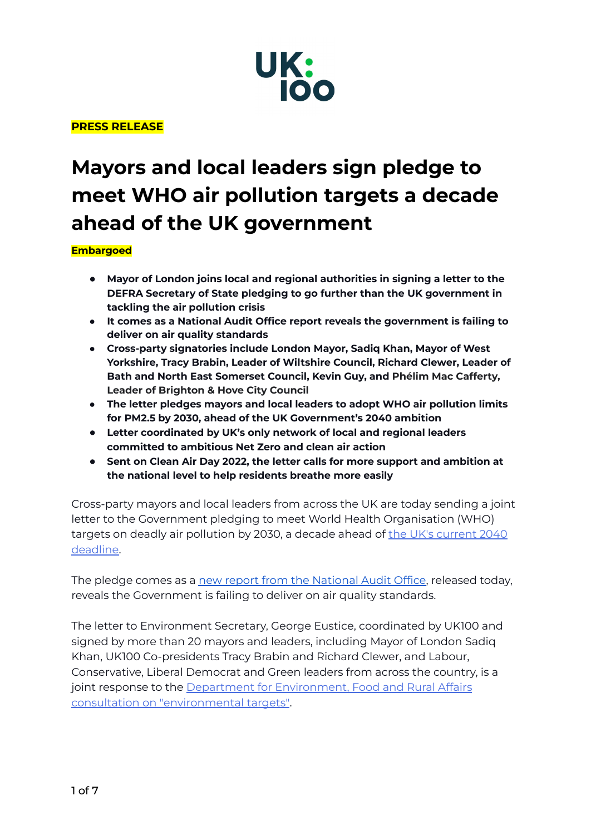

**PRESS RELEASE**

# **Mayors and local leaders sign pledge to meet WHO air pollution targets a decade ahead of the UK government**

**Embargoed**

- **Mayor of London joins local and regional authorities in signing a letter to the DEFRA Secretary of State pledging to go further than the UK government in tackling the air pollution crisis**
- **● It comes as a National Audit Office report reveals the government is failing to deliver on air quality standards**
- **● Cross-party signatories include London Mayor, Sadiq Khan, Mayor of West Yorkshire, Tracy Brabin, Leader of Wiltshire Council, Richard Clewer, Leader of Bath and North East Somerset Council, Kevin Guy, and Phélim Mac Cafferty, Leader of Brighton & Hove City Council**
- **● The letter pledges mayors and local leaders to adopt WHO air pollution limits for PM2.5 by 2030, ahead of the UK Government's 2040 ambition**
- **Letter coordinated by UK's only network of local and regional leaders committed to ambitious Net Zero and clean air action**
- **Sent on Clean Air Day 2022, the letter calls for more support and ambition at the national level to help residents breathe more easily**

Cross-party mayors and local leaders from across the UK are today sending a joint letter to the Government pledging to meet World Health Organisation (WHO) targets on deadly air pollution by 2030, a decade ahead of the UK's [current](https://airqualitynews.com/2022/03/16/breaking-legal-limit-on-pm2-5-to-be-halved-by-2040/#:~:text=The%20UK%20government%20has%20today,in%20population%20exposure%20to%20PM2.) 2040 [deadline.](https://airqualitynews.com/2022/03/16/breaking-legal-limit-on-pm2-5-to-be-halved-by-2040/#:~:text=The%20UK%20government%20has%20today,in%20population%20exposure%20to%20PM2.)

The pledge comes as a new report from the [National](https://www.nao.org.uk/press-release/tackling-local-breaches-of-air-quality/) Audit Office, released today, reveals the Government is failing to deliver on air quality standards.

The letter to Environment Secretary, George Eustice, coordinated by UK100 and signed by more than 20 mayors and leaders, including Mayor of London Sadiq Khan, UK100 Co-presidents Tracy Brabin and Richard Clewer, and Labour, Conservative, Liberal Democrat and Green leaders from across the country, is a joint response to the Department for [Environment,](https://consult.defra.gov.uk/natural-environment-policy/consultation-on-environmental-targets/) Food and Rural Affairs consultation on ["environmental](https://consult.defra.gov.uk/natural-environment-policy/consultation-on-environmental-targets/) targets".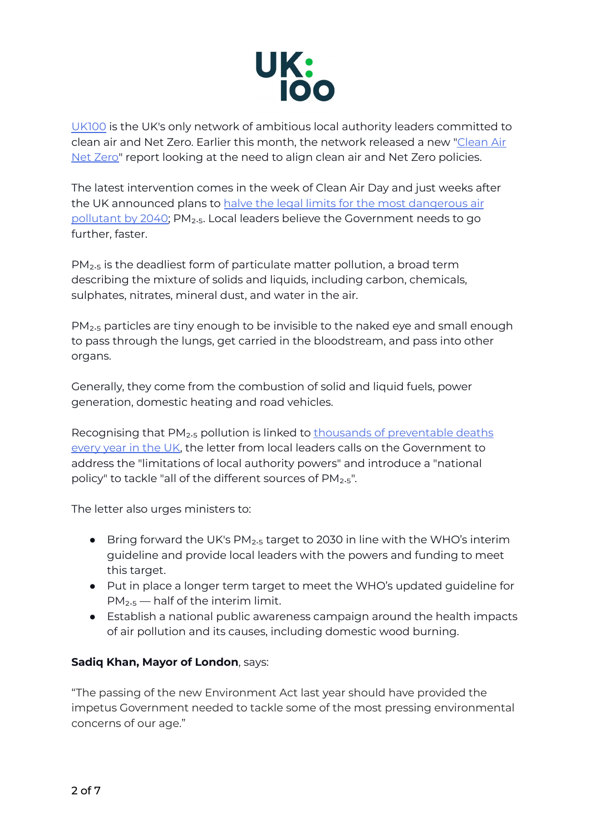

[UK100](https://www.uk100.org/) is the UK's only network of ambitious local authority leaders committed to clean air and Net Zero. Earlier this month, the network released a new ["Clean](https://www.uk100.org/sites/default/files/2022-06/YES%20WE%20CANZ%20%7C%20Clean%20Air%20Net%20Zero%20%7C%20UK100.pdf) Air Net [Zero"](https://www.uk100.org/sites/default/files/2022-06/YES%20WE%20CANZ%20%7C%20Clean%20Air%20Net%20Zero%20%7C%20UK100.pdf) report looking at the need to align clean air and Net Zero policies.

The latest intervention comes in the week of Clean Air Day and just weeks after the UK announced plans to halve the legal limits for the most [dangerous](https://airqualitynews.com/2022/03/16/breaking-legal-limit-on-pm2-5-to-be-halved-by-2040/) air [pollutant](https://airqualitynews.com/2022/03/16/breaking-legal-limit-on-pm2-5-to-be-halved-by-2040/) by 2040; PM<sub>2.5</sub>. Local leaders believe the Government needs to go further, faster.

PM<sub>2.5</sub> is the deadliest form of particulate matter pollution, a broad term describing the mixture of solids and liquids, including carbon, chemicals, sulphates, nitrates, mineral dust, and water in the air.

PM<sub>2.5</sub> particles are tiny enough to be invisible to the naked eye and small enough to pass through the lungs, get carried in the bloodstream, and pass into other organs.

Generally, they come from the combustion of solid and liquid fuels, power generation, domestic heating and road vehicles.

Recognising that PM<sub>2.5</sub> pollution is linked to thousands of [preventable](https://www.clientearth.org/latest/press-office/press/thousands-of-needless-air-pollution-deaths-as-uk-government-ignores-health-experts-clientearth-reaction/) deaths [every](https://www.clientearth.org/latest/press-office/press/thousands-of-needless-air-pollution-deaths-as-uk-government-ignores-health-experts-clientearth-reaction/) year in the UK, the letter from local leaders calls on the Government to address the "limitations of local authority powers" and introduce a "national policy" to tackle "all of the different sources of PM2.5".

The letter also urges ministers to:

- Bring forward the UK's PM<sub>2.5</sub> target to 2030 in line with the WHO's interim guideline and provide local leaders with the powers and funding to meet this target.
- Put in place a longer term target to meet the WHO's updated guideline for  $PM<sub>2.5</sub>$  — half of the interim limit.
- Establish a national public awareness campaign around the health impacts of air pollution and its causes, including domestic wood burning.

# **Sadiq Khan, Mayor of London**, says:

"The passing of the new Environment Act last year should have provided the impetus Government needed to tackle some of the most pressing environmental concerns of our age."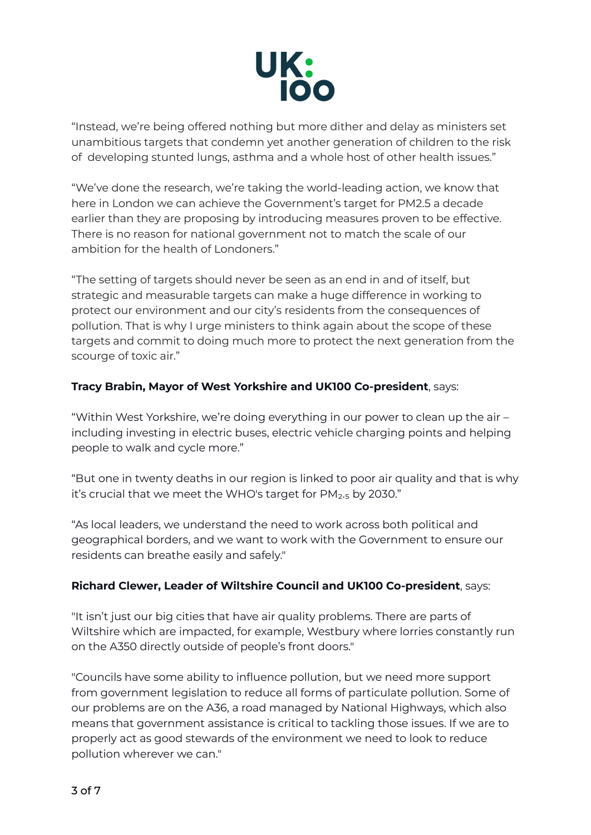

"Instead, we're being offered nothing but more dither and delay as ministers set unambitious targets that condemn yet another generation of children to the risk of developing stunted lungs, asthma and a whole host of other health issues."

"We've done the research, we're taking the world-leading action, we know that here in London we can achieve the Government's target for PM2.5 a decade earlier than they are proposing by introducing measures proven to be effective. There is no reason for national government not to match the scale of our ambition for the health of Londoners."

"The setting of targets should never be seen as an end in and of itself, but strategic and measurable targets can make a huge difference in working to protect our environment and our city's residents from the consequences of pollution. That is why I urge ministers to think again about the scope of these targets and commit to doing much more to protect the next generation from the scourge of toxic air."

## **Tracy Brabin, Mayor of West Yorkshire and UK100 Co-president**, says:

"Within West Yorkshire, we're doing everything in our power to clean up the air – including investing in electric buses, electric vehicle charging points and helping people to walk and cycle more."

"But one in twenty deaths in our region is linked to poor air quality and that is why it's crucial that we meet the WHO's target for PM<sub>2.5</sub> by 2030."

"As local leaders, we understand the need to work across both political and geographical borders, and we want to work with the Government to ensure our residents can breathe easily and safely."

# **Richard Clewer, Leader of Wiltshire Council and UK100 Co-president**, says:

"It isn't just our big cities that have air quality problems. There are parts of Wiltshire which are impacted, for example, Westbury where lorries constantly run on the A350 directly outside of people's front doors."

"Councils have some ability to influence pollution, but we need more support from government legislation to reduce all forms of particulate pollution. Some of our problems are on the A36, a road managed by National Highways, which also means that government assistance is critical to tackling those issues. If we are to properly act as good stewards of the environment we need to look to reduce pollution wherever we can."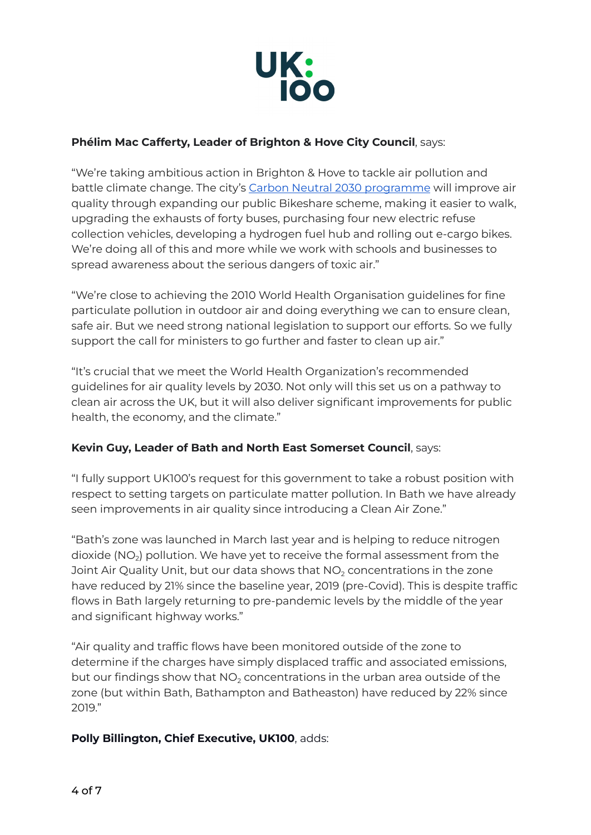

# **Phélim Mac Cafferty, Leader of Brighton & Hove City Council**, says:

"We're taking ambitious action in Brighton & Hove to tackle air pollution and battle climate change. The city's Carbon Neutral 2030 [programme](https://www.brighton-hove.gov.uk/carbon-neutral-2030-programme) will improve air quality through expanding our public Bikeshare scheme, making it easier to walk, upgrading the exhausts of forty buses, purchasing four new electric refuse collection vehicles, developing a hydrogen fuel hub and rolling out e-cargo bikes. We're doing all of this and more while we work with schools and businesses to spread awareness about the serious dangers of toxic air."

"We're close to achieving the 2010 World Health Organisation guidelines for fine particulate pollution in outdoor air and doing everything we can to ensure clean, safe air. But we need strong national legislation to support our efforts. So we fully support the call for ministers to go further and faster to clean up air."

"It's crucial that we meet the World Health Organization's recommended guidelines for air quality levels by 2030. Not only will this set us on a pathway to clean air across the UK, but it will also deliver significant improvements for public health, the economy, and the climate."

## **Kevin Guy, Leader of Bath and North East Somerset Council**, says:

"I fully support UK100's request for this government to take a robust position with respect to setting targets on particulate matter pollution. In Bath we have already seen improvements in air quality since introducing a Clean Air Zone."

"Bath's zone was launched in March last year and is helping to reduce nitrogen dioxide (NO $_{\rm 2}$ ) pollution. We have yet to receive the formal assessment from the Joint Air Quality Unit, but our data shows that NO<sub>2</sub> concentrations in the zone have reduced by 21% since the baseline year, 2019 (pre-Covid). This is despite traffic flows in Bath largely returning to pre-pandemic levels by the middle of the year and significant highway works."

"Air quality and traffic flows have been monitored outside of the zone to determine if the charges have simply displaced traffic and associated emissions, but our findings show that  $NO<sub>2</sub>$  concentrations in the urban area outside of the zone (but within Bath, Bathampton and Batheaston) have reduced by 22% since 2019."

## **Polly Billington, Chief Executive, UK100**, adds: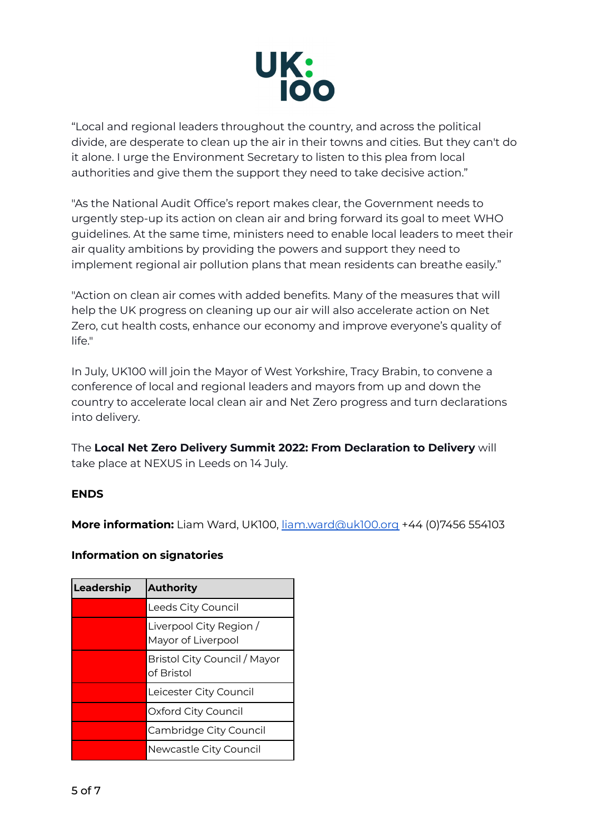

"Local and regional leaders throughout the country, and across the political divide, are desperate to clean up the air in their towns and cities. But they can't do it alone. I urge the Environment Secretary to listen to this plea from local authorities and give them the support they need to take decisive action."

"As the National Audit Office's report makes clear, the Government needs to urgently step-up its action on clean air and bring forward its goal to meet WHO guidelines. At the same time, ministers need to enable local leaders to meet their air quality ambitions by providing the powers and support they need to implement regional air pollution plans that mean residents can breathe easily."

"Action on clean air comes with added benefits. Many of the measures that will help the UK progress on cleaning up our air will also accelerate action on Net Zero, cut health costs, enhance our economy and improve everyone's quality of life."

In July, UK100 will join the Mayor of West Yorkshire, Tracy Brabin, to convene a conference of local and regional leaders and mayors from up and down the country to accelerate local clean air and Net Zero progress and turn declarations into delivery.

The **Local Net Zero Delivery Summit 2022: From Declaration to Delivery** will take place at NEXUS in Leeds on 14 July.

# **ENDS**

**More information:** Liam Ward, UK100, [liam.ward@uk100.org](mailto:liam.ward@uk100.org) +44 (0)7456 554103

## **Information on signatories**

| <b>Leadership</b> | <b>Authority</b>                              |
|-------------------|-----------------------------------------------|
|                   | Leeds City Council                            |
|                   | Liverpool City Region /<br>Mayor of Liverpool |
|                   | Bristol City Council / Mayor<br>of Bristol    |
|                   | Leicester City Council                        |
|                   | Oxford City Council                           |
|                   | Cambridge City Council                        |
|                   | Newcastle City Council                        |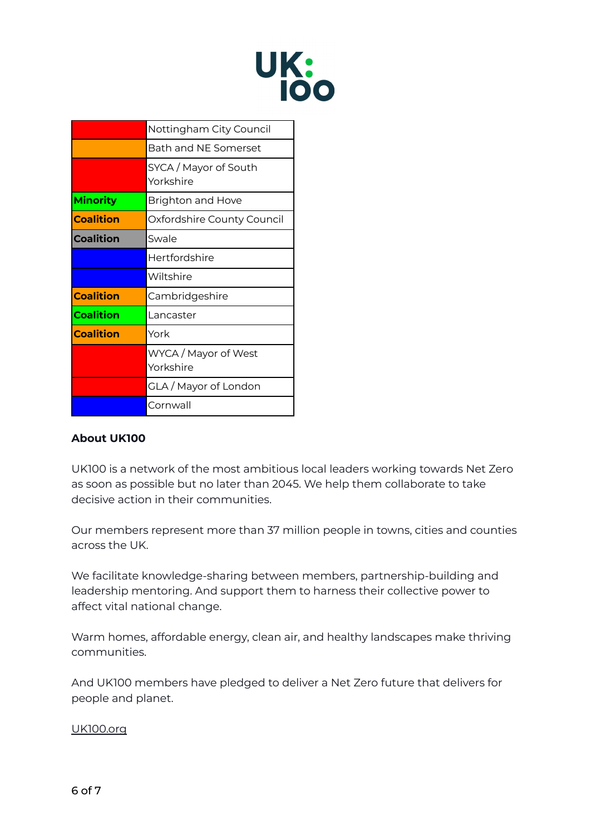

|                  | Nottingham City Council            |
|------------------|------------------------------------|
|                  | <b>Bath and NF Somerset</b>        |
|                  | SYCA / Mayor of South<br>Yorkshire |
| <b>Minority</b>  | Brighton and Hove                  |
| <b>Coalition</b> | Oxfordshire County Council         |
| <b>Coalition</b> | Swale                              |
|                  | Hertfordshire                      |
|                  | Wiltshire                          |
| <b>Coalition</b> | Cambridgeshire                     |
| <b>Coalition</b> | l ancaster                         |
| <b>Coalition</b> | York                               |
|                  | WYCA / Mayor of West<br>Yorkshire  |
|                  | GLA / Mayor of London              |
|                  | Cornwall                           |

## **About UK100**

UK100 is a network of the most ambitious local leaders working towards Net Zero as soon as possible but no later than 2045. We help them collaborate to take decisive action in their communities.

Our members represent more than 37 million people in towns, cities and counties across the UK.

We facilitate knowledge-sharing between members, partnership-building and leadership mentoring. And support them to harness their collective power to affect vital national change.

Warm homes, affordable energy, clean air, and healthy landscapes make thriving communities.

And UK100 members have pledged to deliver a Net Zero future that delivers for people and planet.

#### [UK100.org](http://www.uk100.org)